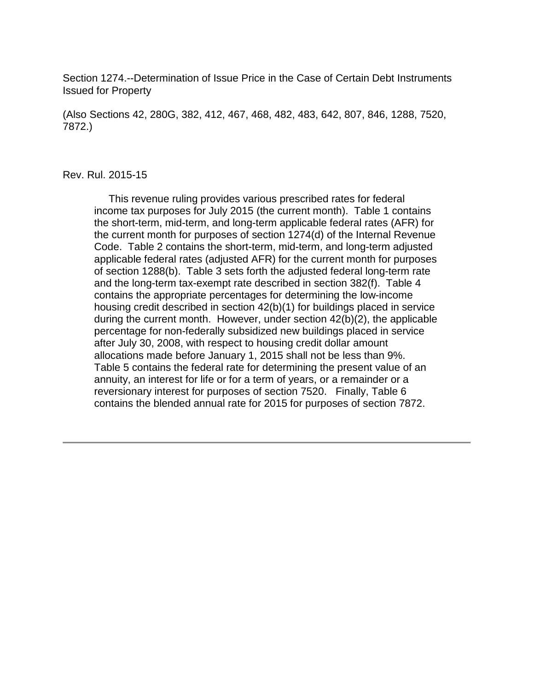Section 1274.--Determination of Issue Price in the Case of Certain Debt Instruments Issued for Property

(Also Sections 42, 280G, 382, 412, 467, 468, 482, 483, 642, 807, 846, 1288, 7520, 7872.)

#### Rev. Rul. 2015-15

 This revenue ruling provides various prescribed rates for federal income tax purposes for July 2015 (the current month). Table 1 contains the short-term, mid-term, and long-term applicable federal rates (AFR) for the current month for purposes of section 1274(d) of the Internal Revenue Code. Table 2 contains the short-term, mid-term, and long-term adjusted applicable federal rates (adjusted AFR) for the current month for purposes of section 1288(b). Table 3 sets forth the adjusted federal long-term rate and the long-term tax-exempt rate described in section 382(f). Table 4 contains the appropriate percentages for determining the low-income housing credit described in section 42(b)(1) for buildings placed in service during the current month. However, under section 42(b)(2), the applicable percentage for non-federally subsidized new buildings placed in service after July 30, 2008, with respect to housing credit dollar amount allocations made before January 1, 2015 shall not be less than 9%. Table 5 contains the federal rate for determining the present value of an annuity, an interest for life or for a term of years, or a remainder or a reversionary interest for purposes of section 7520. Finally, Table 6 contains the blended annual rate for 2015 for purposes of section 7872.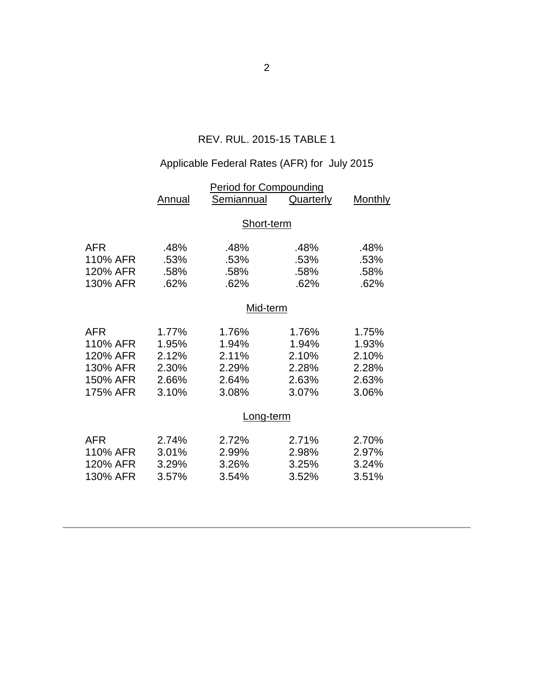# REV. RUL. 2015-15 TABLE 1

# Applicable Federal Rates (AFR) for July 2015

|            | <b>Period for Compounding</b> |            |           |                |  |  |
|------------|-------------------------------|------------|-----------|----------------|--|--|
|            | Annual                        | Semiannual | Quarterly | <b>Monthly</b> |  |  |
|            |                               |            |           |                |  |  |
|            | Short-term                    |            |           |                |  |  |
| <b>AFR</b> | .48%                          | .48%       | .48%      | .48%           |  |  |
| 110% AFR   | .53%                          | .53%       | .53%      | .53%           |  |  |
| 120% AFR   | .58%                          | .58%       | .58%      | .58%           |  |  |
| 130% AFR   | .62%                          | .62%       | .62%      | .62%           |  |  |
|            |                               |            |           |                |  |  |
|            | Mid-term                      |            |           |                |  |  |
| <b>AFR</b> | 1.77%                         | 1.76%      | 1.76%     | 1.75%          |  |  |
| 110% AFR   | 1.95%                         | 1.94%      | 1.94%     | 1.93%          |  |  |
| 120% AFR   | 2.12%                         | 2.11%      | 2.10%     | 2.10%          |  |  |
| 130% AFR   | 2.30%                         | 2.29%      | 2.28%     | 2.28%          |  |  |
| 150% AFR   | 2.66%                         | 2.64%      | 2.63%     | 2.63%          |  |  |
| 175% AFR   | 3.10%                         | 3.08%      | 3.07%     | 3.06%          |  |  |
|            |                               |            |           |                |  |  |
|            | <u>Long-term</u>              |            |           |                |  |  |
| <b>AFR</b> | 2.74%                         | 2.72%      | 2.71%     | 2.70%          |  |  |
| 110% AFR   | 3.01%                         | 2.99%      | 2.98%     | 2.97%          |  |  |
| 120% AFR   | 3.29%                         | 3.26%      | 3.25%     | 3.24%          |  |  |
| 130% AFR   | 3.57%                         | 3.54%      | 3.52%     | 3.51%          |  |  |
|            |                               |            |           |                |  |  |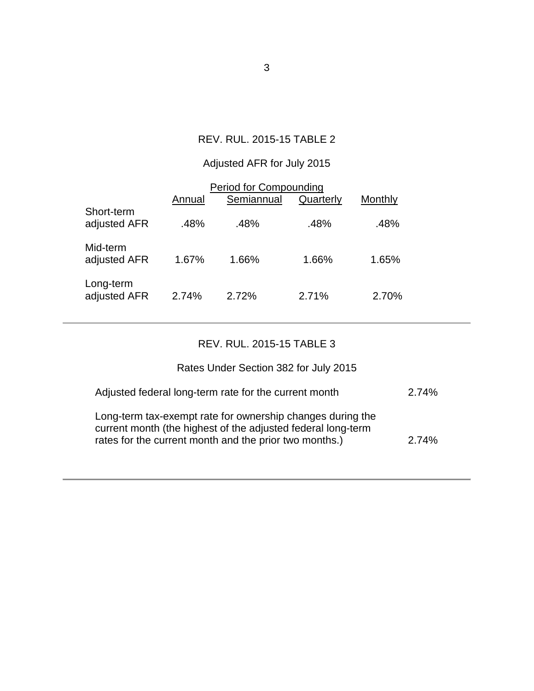### REV. RUL. 2015-15 TABLE 2

# Adjusted AFR for July 2015

| <b>Period for Compounding</b> |        |            |           |         |  |  |
|-------------------------------|--------|------------|-----------|---------|--|--|
|                               | Annual | Semiannual | Quarterly | Monthly |  |  |
| Short-term<br>adjusted AFR    | .48%   | .48%       | .48%      | .48%    |  |  |
| Mid-term<br>adjusted AFR      | 1.67%  | 1.66%      | 1.66%     | 1.65%   |  |  |
| Long-term<br>adjusted AFR     | 2.74%  | 2.72%      | 2.71%     | 2.70%   |  |  |

### REV. RUL. 2015-15 TABLE 3

# Rates Under Section 382 for July 2015

| Adjusted federal long-term rate for the current month                                                                                                                                | 2.74% |
|--------------------------------------------------------------------------------------------------------------------------------------------------------------------------------------|-------|
| Long-term tax-exempt rate for ownership changes during the<br>current month (the highest of the adjusted federal long-term<br>rates for the current month and the prior two months.) | 2.74% |